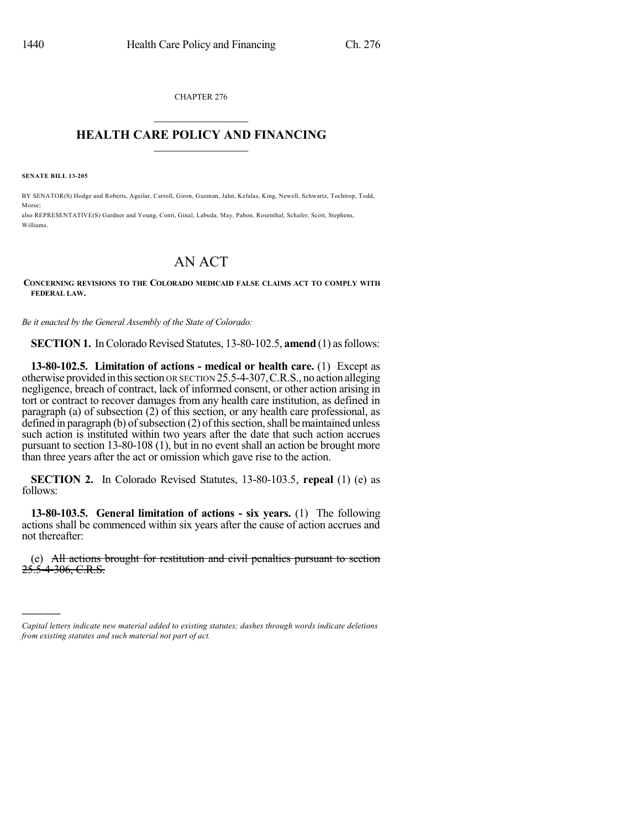CHAPTER 276  $\mathcal{L}_\text{max}$  . The set of the set of the set of the set of the set of the set of the set of the set of the set of the set of the set of the set of the set of the set of the set of the set of the set of the set of the set

## **HEALTH CARE POLICY AND FINANCING**  $\_$   $\_$   $\_$   $\_$   $\_$   $\_$   $\_$   $\_$

**SENATE BILL 13-205**

)))))

BY SENATOR(S) Hodge and Roberts, Aguilar, Carroll, Giron, Guzman, Jahn, Kefalas, King, Newell, Schwartz, Tochtrop, Todd, Morse;

also REPRESENTATIVE(S) Gardner and Young, Conti, Ginal, Labuda, May, Pabon, Rosenthal, Schafer, Scott, Stephens, Williams.

## AN ACT

## **CONCERNING REVISIONS TO THE COLORADO MEDICAID FALSE CLAIMS ACT TO COMPLY WITH FEDERAL LAW.**

*Be it enacted by the General Assembly of the State of Colorado:*

**SECTION 1.** In Colorado Revised Statutes, 13-80-102.5, **amend** (1) as follows:

**13-80-102.5. Limitation of actions - medical or health care.** (1) Except as otherwise provided inthissection OR SECTION 25.5-4-307,C.R.S., no action alleging negligence, breach of contract, lack of informed consent, or other action arising in tort or contract to recover damages from any health care institution, as defined in paragraph (a) of subsection (2) of this section, or any health care professional, as defined in paragraph (b) of subsection  $(2)$  of this section, shall be maintained unless such action is instituted within two years after the date that such action accrues pursuant to section 13-80-108 (1), but in no event shall an action be brought more than three years after the act or omission which gave rise to the action.

**SECTION 2.** In Colorado Revised Statutes, 13-80-103.5, **repeal** (1) (e) as follows:

**13-80-103.5. General limitation of actions - six years.** (1) The following actions shall be commenced within six years after the cause of action accrues and not thereafter:

(e) All actions brought for restitution and civil penalties pursuant to section 25.5-4-306, C.R.S.

*Capital letters indicate new material added to existing statutes; dashes through words indicate deletions from existing statutes and such material not part of act.*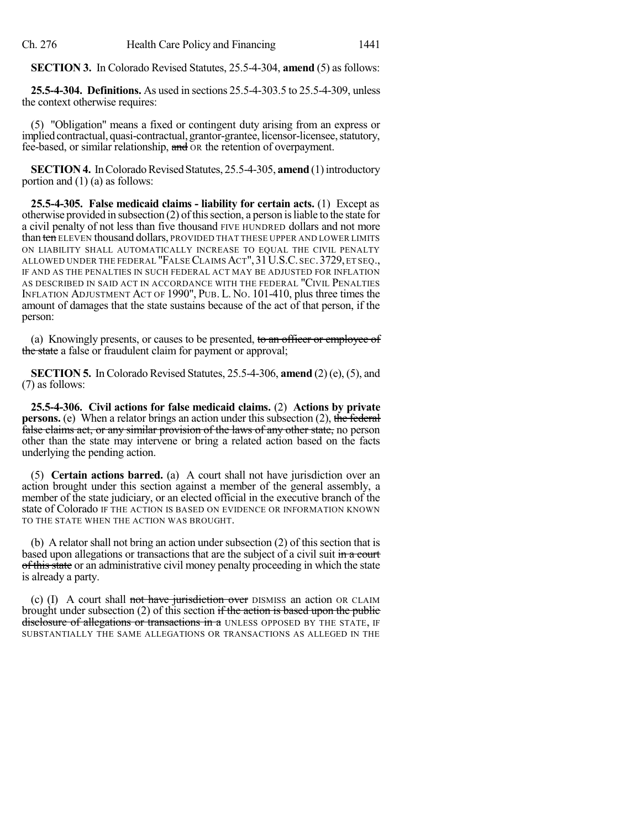**SECTION 3.** In Colorado Revised Statutes, 25.5-4-304, **amend** (5) as follows:

**25.5-4-304. Definitions.** As used in sections 25.5-4-303.5 to 25.5-4-309, unless the context otherwise requires:

(5) "Obligation" means a fixed or contingent duty arising from an express or implied contractual, quasi-contractual, grantor-grantee, licensor-licensee, statutory, fee-based, or similar relationship, and OR the retention of overpayment.

**SECTION 4.** In Colorado Revised Statutes, 25.5-4-305, **amend** (1) introductory portion and (1) (a) as follows:

**25.5-4-305. False medicaid claims - liability for certain acts.** (1) Except as otherwise provided in subsection  $(2)$  of this section, a person is liable to the state for a civil penalty of not less than five thousand FIVE HUNDRED dollars and not more than ten ELEVEN thousand dollars, PROVIDED THAT THESE UPPER AND LOWER LIMITS ON LIABILITY SHALL AUTOMATICALLY INCREASE TO EQUAL THE CIVIL PENALTY ALLOWED UNDER THE FEDERAL "FALSECLAIMS ACT",31U.S.C. SEC.3729,ET SEQ., IF AND AS THE PENALTIES IN SUCH FEDERAL ACT MAY BE ADJUSTED FOR INFLATION AS DESCRIBED IN SAID ACT IN ACCORDANCE WITH THE FEDERAL "CIVIL PENALTIES INFLATION ADJUSTMENT ACT OF 1990", PUB. L. NO. 101-410, plus three times the amount of damages that the state sustains because of the act of that person, if the person:

(a) Knowingly presents, or causes to be presented, to an officer or employee of the state a false or fraudulent claim for payment or approval;

**SECTION 5.** In Colorado Revised Statutes, 25.5-4-306, **amend** (2)(e), (5), and (7) as follows:

**25.5-4-306. Civil actions for false medicaid claims.** (2) **Actions by private persons.** (e) When a relator brings an action under this subsection (2), the federal false claims act, or any similar provision of the laws of any other state, no person other than the state may intervene or bring a related action based on the facts underlying the pending action.

(5) **Certain actions barred.** (a) A court shall not have jurisdiction over an action brought under this section against a member of the general assembly, a member of the state judiciary, or an elected official in the executive branch of the state of Colorado IF THE ACTION IS BASED ON EVIDENCE OR INFORMATION KNOWN TO THE STATE WHEN THE ACTION WAS BROUGHT.

(b) A relator shall not bring an action under subsection (2) of this section that is based upon allegations or transactions that are the subject of a civil suit in a court of this state or an administrative civil money penalty proceeding in which the state is already a party.

(c) (I) A court shall not have jurisdiction over DISMISS an action OR CLAIM brought under subsection (2) of this section if the action is based upon the public disclosure of allegations or transactions in a UNLESS OPPOSED BY THE STATE, IF SUBSTANTIALLY THE SAME ALLEGATIONS OR TRANSACTIONS AS ALLEGED IN THE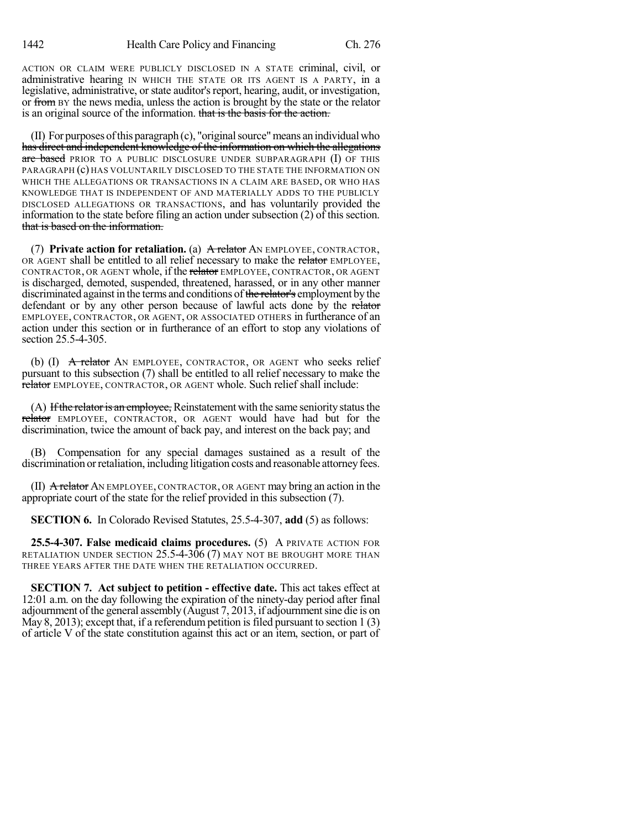ACTION OR CLAIM WERE PUBLICLY DISCLOSED IN A STATE criminal, civil, or administrative hearing IN WHICH THE STATE OR ITS AGENT IS A PARTY, in a legislative, administrative, or state auditor's report, hearing, audit, or investigation, or from BY the news media, unless the action is brought by the state or the relator is an original source of the information. that is the basis for the action.

 $(II)$  For purposes of this paragraph  $(c)$ , "original source" means an individual who has direct and independent knowledge of the information on which the allegations are based PRIOR TO A PUBLIC DISCLOSURE UNDER SUBPARAGRAPH (I) OF THIS PARAGRAPH (c) HAS VOLUNTARILY DISCLOSED TO THE STATE THE INFORMATION ON WHICH THE ALLEGATIONS OR TRANSACTIONS IN A CLAIM ARE BASED, OR WHO HAS KNOWLEDGE THAT IS INDEPENDENT OF AND MATERIALLY ADDS TO THE PUBLICLY DISCLOSED ALLEGATIONS OR TRANSACTIONS, and has voluntarily provided the information to the state before filing an action under subsection (2) of this section. that is based on the information.

(7) **Private action for retaliation.** (a) A relator AN EMPLOYEE, CONTRACTOR, OR AGENT shall be entitled to all relief necessary to make the relator EMPLOYEE, CONTRACTOR, OR AGENT whole, if the relator EMPLOYEE, CONTRACTOR, OR AGENT is discharged, demoted, suspended, threatened, harassed, or in any other manner discriminated against in the terms and conditions of the relator's employment by the defendant or by any other person because of lawful acts done by the relator EMPLOYEE, CONTRACTOR, OR AGENT, OR ASSOCIATED OTHERS in furtherance of an action under this section or in furtherance of an effort to stop any violations of section 25.5-4-305.

(b)  $(I)$  A relator AN EMPLOYEE, CONTRACTOR, OR AGENT who seeks relief pursuant to this subsection (7) shall be entitled to all relief necessary to make the relator EMPLOYEE, CONTRACTOR, OR AGENT whole. Such relief shall include:

(A) If the relator is an employee, Reinstatement with the same seniority status the relator EMPLOYEE, CONTRACTOR, OR AGENT would have had but for the discrimination, twice the amount of back pay, and interest on the back pay; and

(B) Compensation for any special damages sustained as a result of the discrimination or retaliation, including litigation costs and reasonable attorney fees.

(II)  $\overline{A}$  relator AN EMPLOYEE, CONTRACTOR, OR AGENT may bring an action in the appropriate court of the state for the relief provided in this subsection (7).

**SECTION 6.** In Colorado Revised Statutes, 25.5-4-307, **add** (5) as follows:

**25.5-4-307. False medicaid claims procedures.** (5) A PRIVATE ACTION FOR RETALIATION UNDER SECTION  $25.5$ -4-306 (7) MAY NOT BE BROUGHT MORE THAN THREE YEARS AFTER THE DATE WHEN THE RETALIATION OCCURRED.

**SECTION 7. Act subject to petition - effective date.** This act takes effect at 12:01 a.m. on the day following the expiration of the ninety-day period after final adjournment of the general assembly (August 7, 2013, if adjournmentsine die is on May 8, 2013); except that, if a referendum petition is filed pursuant to section  $1(3)$ of article V of the state constitution against this act or an item, section, or part of